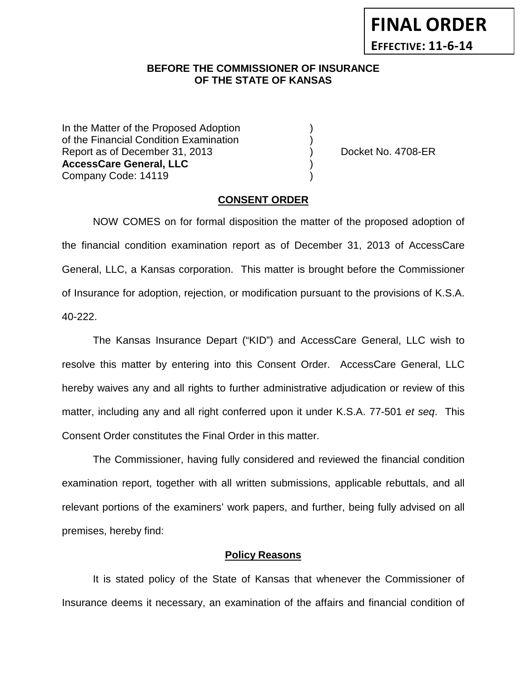# **FINAL ORDER EFFECTIVE: 11-6-14**

# **BEFORE THE COMMISSIONER OF INSURANCE OF THE STATE OF KANSAS**

In the Matter of the Proposed Adoption of the Financial Condition Examination ) Report as of December 31, 2013 (and Separation Control of No. 4708-ER **AccessCare General, LLC** ) Company Code: 14119 )

### **CONSENT ORDER**

NOW COMES on for formal disposition the matter of the proposed adoption of the financial condition examination report as of December 31, 2013 of AccessCare General, LLC, a Kansas corporation. This matter is brought before the Commissioner of Insurance for adoption, rejection, or modification pursuant to the provisions of K.S.A. 40-222.

The Kansas Insurance Depart ("KID") and AccessCare General, LLC wish to resolve this matter by entering into this Consent Order. AccessCare General, LLC hereby waives any and all rights to further administrative adjudication or review of this matter, including any and all right conferred upon it under K.S.A. 77-501 *et seq*. This Consent Order constitutes the Final Order in this matter.

The Commissioner, having fully considered and reviewed the financial condition examination report, together with all written submissions, applicable rebuttals, and all relevant portions of the examiners' work papers, and further, being fully advised on all premises, hereby find:

## **Policy Reasons**

It is stated policy of the State of Kansas that whenever the Commissioner of Insurance deems it necessary, an examination of the affairs and financial condition of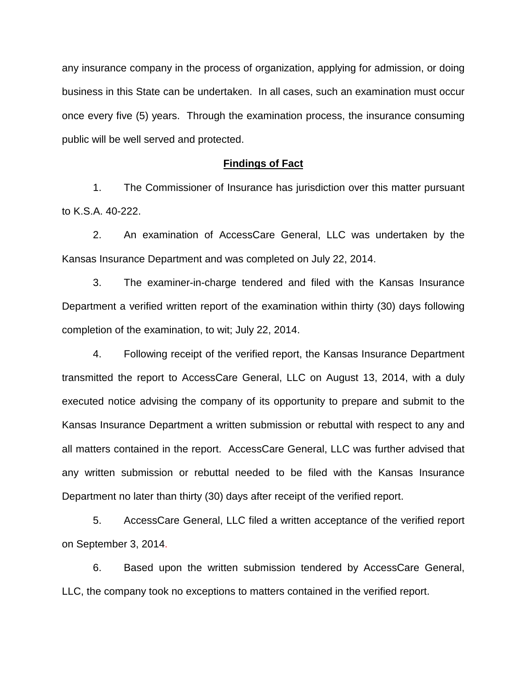any insurance company in the process of organization, applying for admission, or doing business in this State can be undertaken. In all cases, such an examination must occur once every five (5) years. Through the examination process, the insurance consuming public will be well served and protected.

#### **Findings of Fact**

1. The Commissioner of Insurance has jurisdiction over this matter pursuant to K.S.A. 40-222.

2. An examination of AccessCare General, LLC was undertaken by the Kansas Insurance Department and was completed on July 22, 2014.

3. The examiner-in-charge tendered and filed with the Kansas Insurance Department a verified written report of the examination within thirty (30) days following completion of the examination, to wit; July 22, 2014.

4. Following receipt of the verified report, the Kansas Insurance Department transmitted the report to AccessCare General, LLC on August 13, 2014, with a duly executed notice advising the company of its opportunity to prepare and submit to the Kansas Insurance Department a written submission or rebuttal with respect to any and all matters contained in the report. AccessCare General, LLC was further advised that any written submission or rebuttal needed to be filed with the Kansas Insurance Department no later than thirty (30) days after receipt of the verified report.

5. AccessCare General, LLC filed a written acceptance of the verified report on September 3, 2014.

6. Based upon the written submission tendered by AccessCare General, LLC, the company took no exceptions to matters contained in the verified report.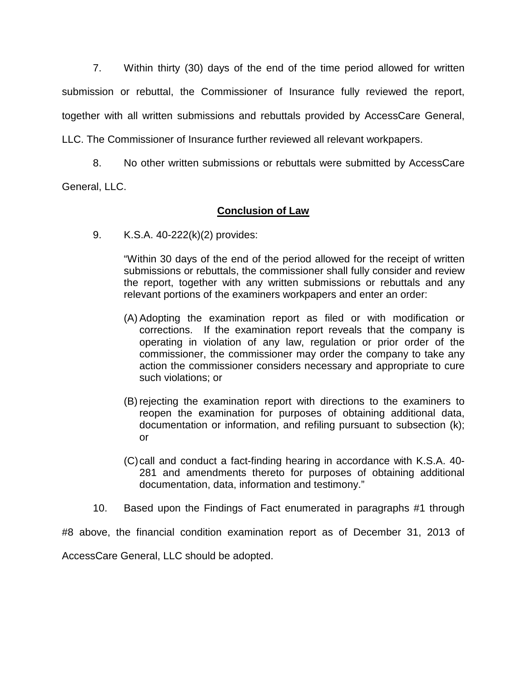7. Within thirty (30) days of the end of the time period allowed for written submission or rebuttal, the Commissioner of Insurance fully reviewed the report, together with all written submissions and rebuttals provided by AccessCare General, LLC. The Commissioner of Insurance further reviewed all relevant workpapers.

8. No other written submissions or rebuttals were submitted by AccessCare

General, LLC.

# **Conclusion of Law**

9. K.S.A. 40-222(k)(2) provides:

"Within 30 days of the end of the period allowed for the receipt of written submissions or rebuttals, the commissioner shall fully consider and review the report, together with any written submissions or rebuttals and any relevant portions of the examiners workpapers and enter an order:

- (A) Adopting the examination report as filed or with modification or corrections. If the examination report reveals that the company is operating in violation of any law, regulation or prior order of the commissioner, the commissioner may order the company to take any action the commissioner considers necessary and appropriate to cure such violations; or
- (B) rejecting the examination report with directions to the examiners to reopen the examination for purposes of obtaining additional data, documentation or information, and refiling pursuant to subsection (k); or
- (C)call and conduct a fact-finding hearing in accordance with K.S.A. 40- 281 and amendments thereto for purposes of obtaining additional documentation, data, information and testimony."
- 10. Based upon the Findings of Fact enumerated in paragraphs #1 through

#8 above, the financial condition examination report as of December 31, 2013 of AccessCare General, LLC should be adopted.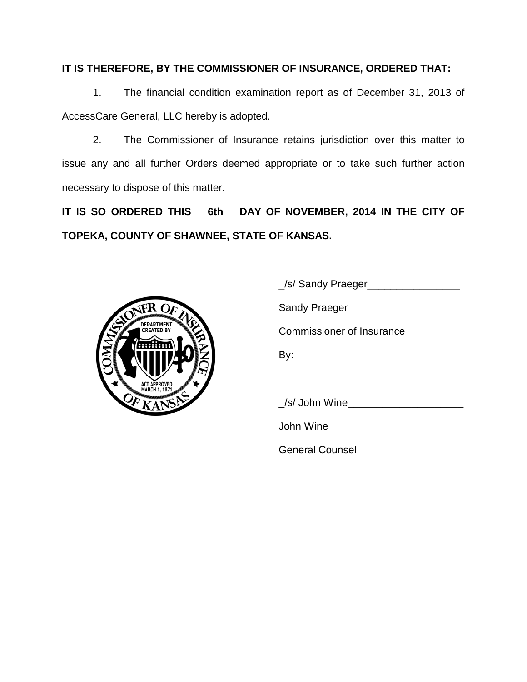# **IT IS THEREFORE, BY THE COMMISSIONER OF INSURANCE, ORDERED THAT:**

1. The financial condition examination report as of December 31, 2013 of AccessCare General, LLC hereby is adopted.

2. The Commissioner of Insurance retains jurisdiction over this matter to issue any and all further Orders deemed appropriate or to take such further action necessary to dispose of this matter.

**IT IS SO ORDERED THIS \_\_6th\_\_ DAY OF NOVEMBER, 2014 IN THE CITY OF TOPEKA, COUNTY OF SHAWNEE, STATE OF KANSAS.**



\_/s/ Sandy Praeger\_\_\_\_\_\_\_\_\_\_\_\_\_\_\_\_ Sandy Praeger Commissioner of Insurance By:

/s/ John Wine

John Wine

General Counsel